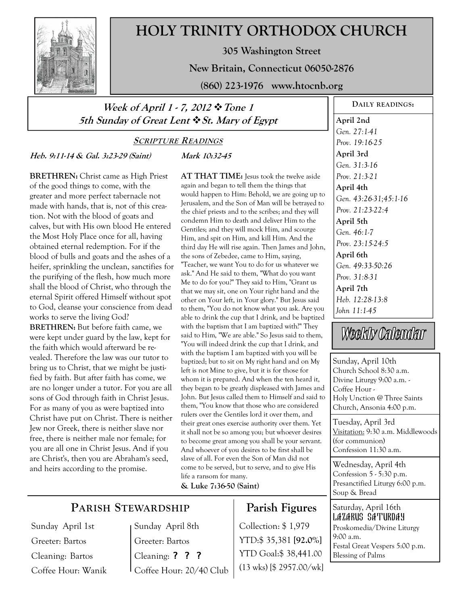

# **HOLY TRINITY ORTHODOX CHURCH**

**305 Washington Street** 

**New Britain, Connecticut 06050-2876** 

**(860) 223-1976 www.htocnb.org** 

# **Week of April 1 - 7, 2012 Tone 1 5th Sunday of Great Lent St. Mary of Egypt**

# **SCRIPTURE READINGS**

**Mark 10:32-45** 

**Heb. 9:11-14 & Gal. 3:23-29 (Saint)** 

**BRETHREN:** Christ came as High Priest of the good things to come, with the greater and more perfect tabernacle not made with hands, that is, not of this creation. Not with the blood of goats and calves, but with His own blood He entered the Most Holy Place once for all, having obtained eternal redemption. For if the blood of bulls and goats and the ashes of a heifer, sprinkling the unclean, sanctifies for the purifying of the flesh, how much more shall the blood of Christ, who through the eternal Spirit offered Himself without spot to God, cleanse your conscience from dead works to serve the living God? **BRETHREN:** But before faith came, we

were kept under guard by the law, kept for the faith which would afterward be revealed. Therefore the law was our tutor to bring us to Christ, that we might be justified by faith. But after faith has come, we are no longer under a tutor. For you are all sons of God through faith in Christ Jesus. For as many of you as were baptized into Christ have put on Christ. There is neither Jew nor Greek, there is neither slave nor free, there is neither male nor female; for you are all one in Christ Jesus. And if you are Christ's, then you are Abraham's seed, and heirs according to the promise.

**AT THAT TIME:** Jesus took the twelve aside again and began to tell them the things that would happen to Him: Behold, we are going up to Jerusalem, and the Son of Man will be betrayed to the chief priests and to the scribes; and they will condemn Him to death and deliver Him to the Gentiles; and they will mock Him, and scourge Him, and spit on Him, and kill Him. And the third day He will rise again. Then James and John, the sons of Zebedee, came to Him, saying, "Teacher, we want You to do for us whatever we ask." And He said to them, "What do you want Me to do for you?" They said to Him, "Grant us that we may sit, one on Your right hand and the other on Your left, in Your glory." But Jesus said to them, "You do not know what you ask. Are you able to drink the cup that I drink, and be baptized with the baptism that I am baptized with?" They said to Him, "We are able." So Jesus said to them, "You will indeed drink the cup that I drink, and with the baptism I am baptized with you will be baptized; but to sit on My right hand and on My left is not Mine to give, but it is for those for whom it is prepared. And when the ten heard it, they began to be greatly displeased with James and John. But Jesus called them to Himself and said to them, "You know that those who are considered rulers over the Gentiles lord it over them, and their great ones exercise authority over them. Yet it shall not be so among you; but whoever desires to become great among you shall be your servant. And whoever of you desires to be first shall be slave of all. For even the Son of Man did not come to be served, but to serve, and to give His life a ransom for many.

**& Luke 7:36-50 (Saint)**

# **PARISH STEWARDSHIP**

Sunday April 1st Greeter: Bartos Cleaning: Bartos Coffee Hour: Wanik Sunday April 8th Greeter: Bartos Cleaning: ? ? ? Coffee Hour: 20/40 Club

# **Parish Figures**

Collection: \$ 1,979 YTD:\$ 35,381 **[92.0%]** YTD Goal:\$ 38,441.00 (13 wks) [\$ 2957.00/wk]

**DAILY READINGS: April 2nd**  *Gen. 27:1-41 Prov. 19:16-25*  **April 3rd**  *Prov. 21:3-21 Gen. 43:26-31;45:1-16 Prov. 21:23-22:4 Gen. 46:1-7 Prov. 23:15-24:5*  **April 6th**  *Prov. 31:8-31*  **April 7th**  *Heb. 12:28-13:8 John 11:1-45* 

Weekly Calendar

Sunday, April 10th Church School 8:30 a.m. Divine Liturgy 9:00 a.m. - Coffee Hour - Holy Unction @ Three Saints Church, Ansonia 4:00 p.m.

Tuesday, April 3rd Visitation: 9:30 a.m. Middlewoods (for communion) Confession 11:30 a.m.

Wednesday, April 4th Confession 5 - 5:30 p.m. Presanctified Liturgy 6:00 p.m. Soup & Bread

Saturday, April 16th Lazarus Saturday Proskomedia/Divine Liturgy 9:00 a.m. Festal Great Vespers 5:00 p.m. Blessing of Palms

*Gen. 31:3-16*  **April 4th April 5th** 

*Gen. 49:33-50:26*